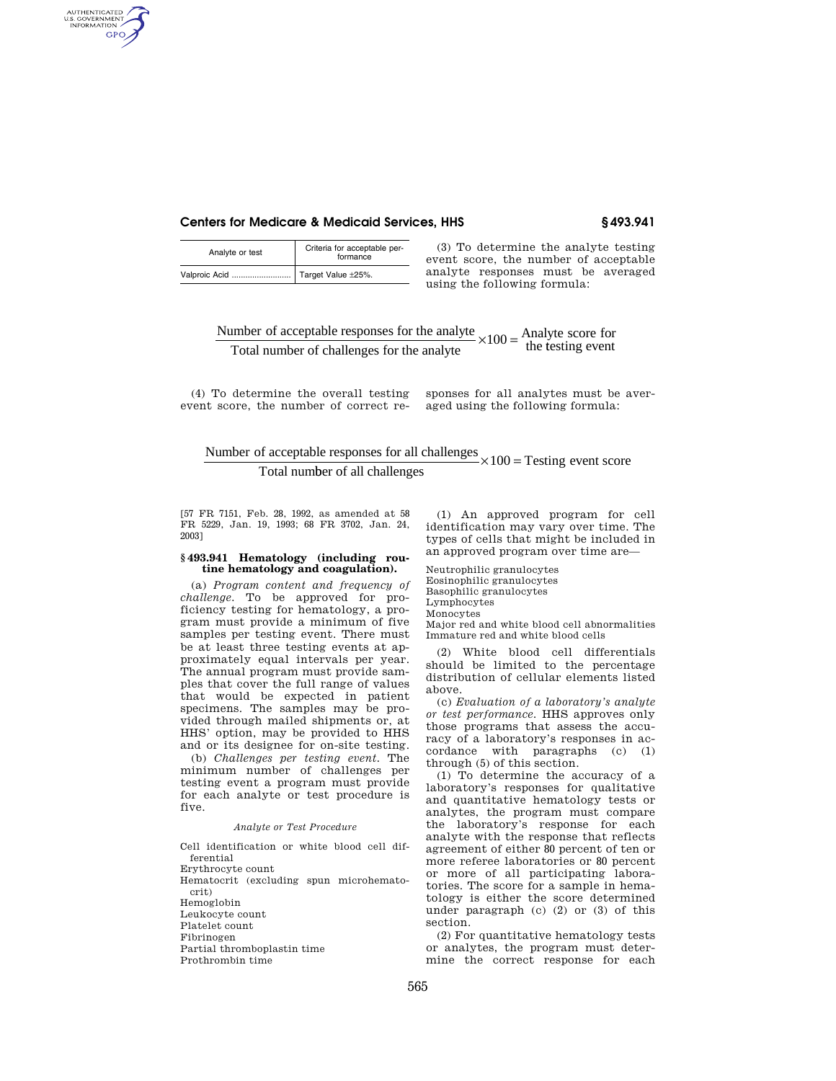## **Centers for Medicare & Medicaid Services, HHS § 493.941**

| Analyte or test | Criteria for acceptable per-<br>formance |
|-----------------|------------------------------------------|
|                 | Target Value ±25%.                       |

AUTHENTICATED<br>U.S. GOVERNMENT<br>INFORMATION GPO

> (3) To determine the analyte testing event score, the number of acceptable analyte responses must be averaged using the following formula:

Number of acceptable responses for the analyte  $\times 100 =$  Analyte score for<br>Total number of challenges for the analyte Total number of challenges for the analyte the testing event

(4) To determine the overall testing sponses for all analytes must be averevent score, the number of correct re-aged using the following formula:

Number of acceptable responses for all challenges  $\times 100 =$  Testing event score Total number of all challenges

[57 FR 7151, Feb. 28, 1992, as amended at 58 FR 5229, Jan. 19, 1993; 68 FR 3702, Jan. 24, 2003]

### **§ 493.941 Hematology (including routine hematology and coagulation).**

(a) *Program content and frequency of challenge.* To be approved for proficiency testing for hematology, a program must provide a minimum of five samples per testing event. There must be at least three testing events at approximately equal intervals per year. The annual program must provide samples that cover the full range of values that would be expected in patient specimens. The samples may be provided through mailed shipments or, at HHS' option, may be provided to HHS and or its designee for on-site testing.

(b) *Challenges per testing event.* The minimum number of challenges per testing event a program must provide for each analyte or test procedure is five.

## *Analyte or Test Procedure*

Cell identification or white blood cell differential

Erythrocyte count

Hematocrit (excluding spun microhematocrit)

Hemoglobin

Leukocyte count

Platelet count

Fibrinogen

Partial thromboplastin time

Prothrombin time

(1) An approved program for cell identification may vary over time. The types of cells that might be included in an approved program over time are—

Neutrophilic granulocytes Eosinophilic granulocytes Basophilic granulocytes Lymphocytes

Monocytes Major red and white blood cell abnormalities Immature red and white blood cells

(2) White blood cell differentials should be limited to the percentage distribution of cellular elements listed above.

(c) *Evaluation of a laboratory's analyte or test performance.* HHS approves only those programs that assess the accuracy of a laboratory's responses in accordance with paragraphs (c) (1) through (5) of this section.

(1) To determine the accuracy of a laboratory's responses for qualitative and quantitative hematology tests or analytes, the program must compare the laboratory's response for each analyte with the response that reflects agreement of either 80 percent of ten or more referee laboratories or 80 percent or more of all participating laboratories. The score for a sample in hematology is either the score determined under paragraph (c) (2) or (3) of this section.

(2) For quantitative hematology tests or analytes, the program must determine the correct response for each